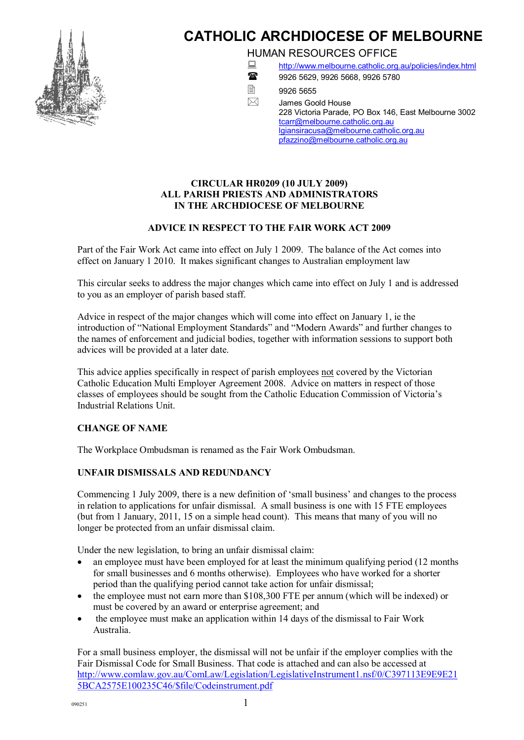

# **CATHOLIC ARCHDIOCESE OF MELBOURNE**

HUMAN RESOURCES OFFICE

- : <http://www.melbourne.catholic.org.au/policies/index.html>
- - 18 9926 5629, 9926 5668, 9926 5780
	-

 $\overline{2}$  9926 5655 James Goold House 228 Victoria Parade, PO Box 146, East Melbourne 3002 [tcarr@melbourne.catholic.org.au](mailto:tcarr@melbourne.catholic.org.au) [lgiansiracusa@melbourne.catholic.org.au](mailto:rodparker@melbourne.catholic.org.au) [pfazzino@melbourne.catholic.org.au](mailto:pfazzino@melbourne.catholic.org.au)

### **CIRCULAR HR0209 (10 JULY 2009) ALL PARISH PRIESTS AND ADMINISTRATORS IN THE ARCHDIOCESE OF MELBOURNE**

# **ADVICE IN RESPECT TO THE FAIR WORK ACT 2009**

Part of the Fair Work Act came into effect on July 1 2009. The balance of the Act comes into effect on January 1 2010. It makes significant changes to Australian employment law

This circular seeks to address the major changes which came into effect on July 1 and is addressed to you as an employer of parish based staff.

Advice in respect of the major changes which will come into effect on January 1, ie the introduction of "National Employment Standards" and "Modern Awards" and further changes to the names of enforcement and judicial bodies, together with information sessions to support both advices will be provided at a later date.

This advice applies specifically in respect of parish employees not covered by the Victorian Catholic Education Multi Employer Agreement 2008. Advice on matters in respect of those classes of employees should be sought from the Catholic Education Commission of Victoria's Industrial Relations Unit.

# **CHANGE OF NAME**

The Workplace Ombudsman is renamed as the Fair Work Ombudsman.

# **UNFAIR DISMISSALS AND REDUNDANCY**

Commencing 1 July 2009, there is a new definition of 'small business' and changes to the process in relation to applications for unfair dismissal. A small business is one with 15 FTE employees (but from 1 January, 2011, 15 on a simple head count). This means that many of you will no longer be protected from an unfair dismissal claim.

Under the new legislation, to bring an unfair dismissal claim:

- an employee must have been employed for at least the minimum qualifying period (12 months) for small businesses and 6 months otherwise). Employees who have worked for a shorter period than the qualifying period cannot take action for unfair dismissal;
- the employee must not earn more than \$108,300 FTE per annum (which will be indexed) or must be covered by an award or enterprise agreement; and
- · the employee must make an application within 14 days of the dismissal to Fair Work Australia.

For a small business employer, the dismissal will not be unfair if the employer complies with the Fair Dismissal Code for Small Business. That code is attached and can also be accessed at [http://www.comlaw.gov.au/ComLaw/Legislation/LegislativeInstrument1.nsf/0/C397113E9E9E21](http://www.comlaw.gov.au/ComLaw/Legislation/LegislativeInstrument1.nsf/0/C397113E9E9E215BCA2575E100235C46/$file/Codeinstrument.pdf) 5BCA2575E100235C46/\$file/Codeinstrument.pdf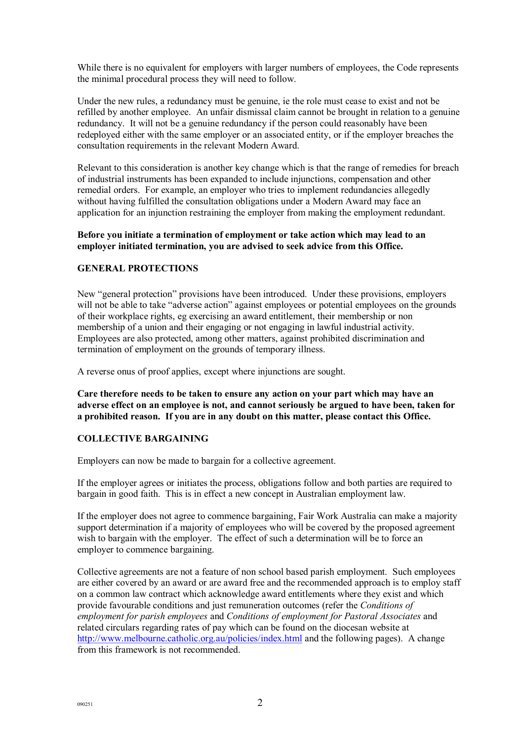While there is no equivalent for employers with larger numbers of employees, the Code represents the minimal procedural process they will need to follow.

Under the new rules, a redundancy must be genuine, ie the role must cease to exist and not be refilled by another employee. An unfair dismissal claim cannot be brought in relation to a genuine redundancy. It will not be a genuine redundancy if the person could reasonably have been redeployed either with the same employer or an associated entity, or if the employer breaches the consultation requirements in the relevant Modern Award.

Relevant to this consideration is another key change which is that the range of remedies for breach of industrial instruments has been expanded to include injunctions, compensation and other remedial orders. For example, an employer who tries to implement redundancies allegedly without having fulfilled the consultation obligations under a Modern Award may face an application for an injunction restraining the employer from making the employment redundant.

#### **Before you initiate a termination of employment or take action which may lead to an employer initiated termination, you are advised to seek advice from this Office.**

#### **GENERAL PROTECTIONS**

New "general protection" provisions have been introduced. Under these provisions, employers will not be able to take "adverse action" against employees or potential employees on the grounds of their workplace rights, eg exercising an award entitlement, their membership or non membership of a union and their engaging or not engaging in lawful industrial activity. Employees are also protected, among other matters, against prohibited discrimination and termination of employment on the grounds of temporary illness.

A reverse onus of proof applies, except where injunctions are sought.

**Care therefore needs to be taken to ensure any action on your part which may have an adverse effect on an employee is not, and cannot seriously be argued to have been, taken for a prohibited reason. If you are in any doubt on this matter, please contact this Office.**

#### **COLLECTIVE BARGAINING**

Employers can now be made to bargain for a collective agreement.

If the employer agrees or initiates the process, obligations follow and both parties are required to bargain in good faith. This is in effect a new concept in Australian employment law.

If the employer does not agree to commence bargaining, Fair Work Australia can make a majority support determination if a majority of employees who will be covered by the proposed agreement wish to bargain with the employer. The effect of such a determination will be to force an employer to commence bargaining.

Collective agreements are not a feature of non school based parish employment. Such employees are either covered by an award or are award free and the recommended approach is to employ staff on a common law contract which acknowledge award entitlements where they exist and which provide favourable conditions and just remuneration outcomes (refer the *Conditions of employment for parish employees* and *Conditions of employment for Pastoral Associates* and related circulars regarding rates of pay which can be found on the diocesan website at <http://www.melbourne.catholic.org.au/policies/index.html> and the following pages). A change from this framework is not recommended.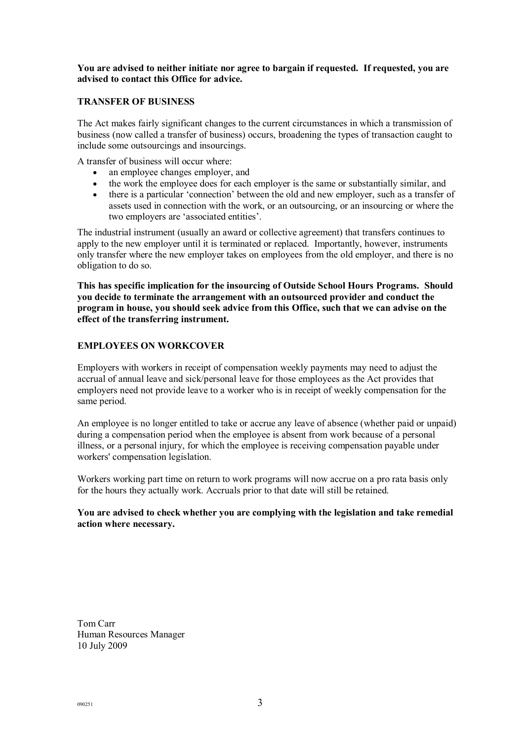#### **You are advised to neither initiate nor agree to bargain if requested. If requested, you are advised to contact this Office for advice.**

#### **TRANSFER OF BUSINESS**

The Act makes fairly significant changes to the current circumstances in which a transmission of business (now called a transfer of business) occurs, broadening the types of transaction caught to include some outsourcings and insourcings.

A transfer of business will occur where:

- an employee changes employer, and<br>• the work the employee does for each
- the work the employee does for each employer is the same or substantially similar, and
- · there is a particular 'connection' between the old and new employer, such as a transfer of assets used in connection with the work, or an outsourcing, or an insourcing or where the two employers are 'associated entities'.

The industrial instrument (usually an award or collective agreement) that transfers continues to apply to the new employer until it is terminated or replaced. Importantly, however, instruments only transfer where the new employer takes on employees from the old employer, and there is no obligation to do so.

**This has specific implication for the insourcing of Outside School Hours Programs. Should you decide to terminate the arrangement with an outsourced provider and conduct the program in house, you should seek advice from this Office, such that we can advise on the effect of the transferring instrument.**

#### **EMPLOYEES ON WORKCOVER**

Employers with workers in receipt of compensation weekly payments may need to adjust the accrual of annual leave and sick/personal leave for those employees as the Act provides that employers need not provide leave to a worker who is in receipt of weekly compensation for the same period.

An employee is no longer entitled to take or accrue any leave of absence (whether paid or unpaid) during a compensation period when the employee is absent from work because of a personal illness, or a personal injury, for which the employee is receiving compensation payable under workers' compensation legislation.

Workers working part time on return to work programs will now accrue on a pro rata basis only for the hours they actually work. Accruals prior to that date will still be retained.

#### **You are advised to check whether you are complying with the legislation and take remedial action where necessary.**

Tom Carr Human Resources Manager 10 July 2009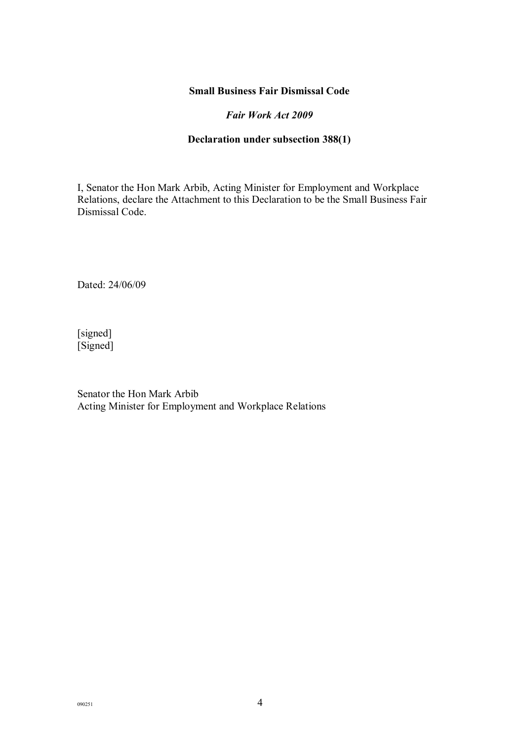# **Small Business Fair Dismissal Code**

# *Fair Work Act 2009*

# **Declaration under subsection 388(1)**

I, Senator the Hon Mark Arbib, Acting Minister for Employment and Workplace Relations, declare the Attachment to this Declaration to be the Small Business Fair Dismissal Code.

Dated: 24/06/09

[signed] [Signed]

Senator the Hon Mark Arbib Acting Minister for Employment and Workplace Relations